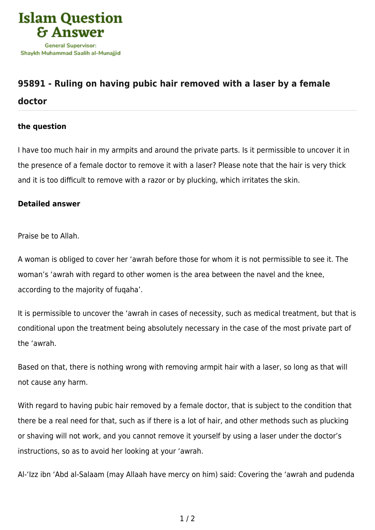

## **[95891 - Ruling on having pubic hair removed with a laser by a female](https://islamqa.com/en/answers/95891/ruling-on-having-pubic-hair-removed-with-a-laser-by-a-female-doctor) [doctor](https://islamqa.com/en/answers/95891/ruling-on-having-pubic-hair-removed-with-a-laser-by-a-female-doctor)**

## **the question**

I have too much hair in my armpits and around the private parts. Is it permissible to uncover it in the presence of a female doctor to remove it with a laser? Please note that the hair is very thick and it is too difficult to remove with a razor or by plucking, which irritates the skin.

## **Detailed answer**

Praise be to Allah.

A woman is obliged to cover her 'awrah before those for whom it is not permissible to see it. The woman's 'awrah with regard to other women is the area between the navel and the knee, according to the majority of fuqaha'.

It is permissible to uncover the 'awrah in cases of necessity, such as medical treatment, but that is conditional upon the treatment being absolutely necessary in the case of the most private part of the 'awrah.

Based on that, there is nothing wrong with removing armpit hair with a laser, so long as that will not cause any harm.

With regard to having pubic hair removed by a female doctor, that is subject to the condition that there be a real need for that, such as if there is a lot of hair, and other methods such as plucking or shaving will not work, and you cannot remove it yourself by using a laser under the doctor's instructions, so as to avoid her looking at your 'awrah.

Al-'Izz ibn 'Abd al-Salaam (may Allaah have mercy on him) said: Covering the 'awrah and pudenda